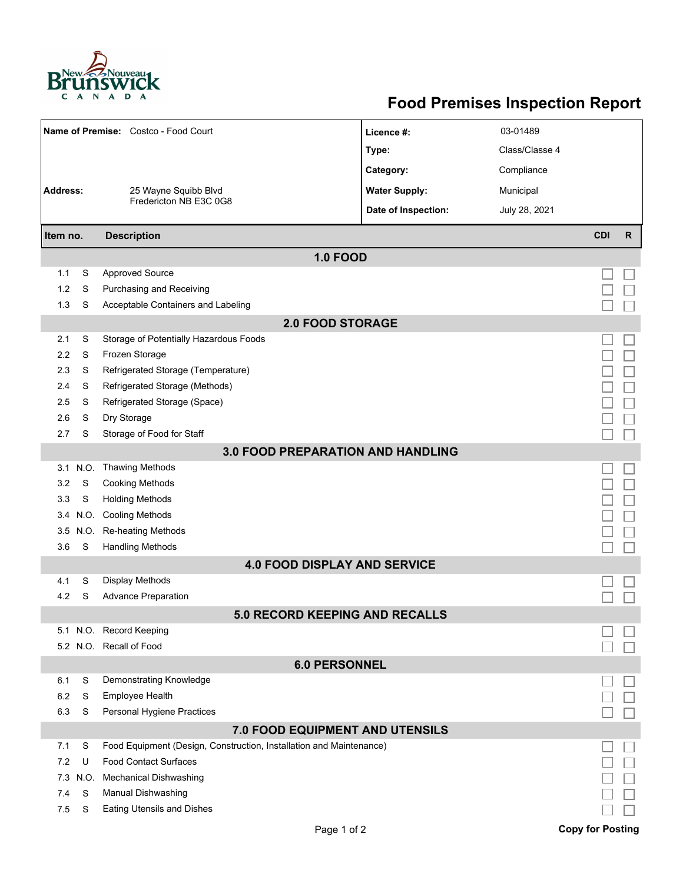

## **Food Premises Inspection Report**

| Name of Premise: Costco - Food Court     |          |                                                                     | Licence #:                          | 03-01489       |                         |              |  |  |  |  |
|------------------------------------------|----------|---------------------------------------------------------------------|-------------------------------------|----------------|-------------------------|--------------|--|--|--|--|
|                                          |          |                                                                     | Type:                               | Class/Classe 4 |                         |              |  |  |  |  |
|                                          |          |                                                                     | Category:                           | Compliance     |                         |              |  |  |  |  |
| <b>Address:</b>                          |          | 25 Wayne Squibb Blvd                                                | <b>Water Supply:</b>                | Municipal      |                         |              |  |  |  |  |
|                                          |          | Fredericton NB E3C 0G8                                              | Date of Inspection:                 | July 28, 2021  |                         |              |  |  |  |  |
|                                          |          |                                                                     |                                     |                |                         |              |  |  |  |  |
| <b>Description</b><br>Item no.           |          |                                                                     |                                     |                | <b>CDI</b>              | $\mathsf{R}$ |  |  |  |  |
| <b>1.0 FOOD</b>                          |          |                                                                     |                                     |                |                         |              |  |  |  |  |
| 1.1                                      | S        | <b>Approved Source</b>                                              |                                     |                |                         |              |  |  |  |  |
| 1.2                                      | S        | Purchasing and Receiving                                            |                                     |                |                         |              |  |  |  |  |
| 1.3                                      | S        | Acceptable Containers and Labeling                                  |                                     |                |                         |              |  |  |  |  |
| <b>2.0 FOOD STORAGE</b>                  |          |                                                                     |                                     |                |                         |              |  |  |  |  |
| 2.1                                      | S        | Storage of Potentially Hazardous Foods                              |                                     |                |                         |              |  |  |  |  |
| 2.2                                      | S        | Frozen Storage                                                      |                                     |                |                         |              |  |  |  |  |
| 2.3                                      | S        | Refrigerated Storage (Temperature)                                  |                                     |                |                         |              |  |  |  |  |
| 2.4                                      | S        | Refrigerated Storage (Methods)                                      |                                     |                |                         |              |  |  |  |  |
| 2.5                                      | S        | Refrigerated Storage (Space)                                        |                                     |                |                         |              |  |  |  |  |
| 2.6                                      | S        | Dry Storage                                                         |                                     |                |                         |              |  |  |  |  |
| 2.7                                      | S        | Storage of Food for Staff                                           |                                     |                |                         |              |  |  |  |  |
| <b>3.0 FOOD PREPARATION AND HANDLING</b> |          |                                                                     |                                     |                |                         |              |  |  |  |  |
|                                          | 3.1 N.O. | Thawing Methods                                                     |                                     |                |                         |              |  |  |  |  |
| 3.2                                      | S        | <b>Cooking Methods</b>                                              |                                     |                |                         |              |  |  |  |  |
| 3.3                                      | S        | <b>Holding Methods</b>                                              |                                     |                |                         |              |  |  |  |  |
| 3.4                                      | N.O.     | <b>Cooling Methods</b>                                              |                                     |                |                         |              |  |  |  |  |
| 3.5                                      | N.O.     | <b>Re-heating Methods</b>                                           |                                     |                |                         |              |  |  |  |  |
| 3.6                                      | S        | <b>Handling Methods</b>                                             |                                     |                |                         |              |  |  |  |  |
|                                          |          |                                                                     | <b>4.0 FOOD DISPLAY AND SERVICE</b> |                |                         |              |  |  |  |  |
| 4.1                                      | S        | Display Methods                                                     |                                     |                |                         |              |  |  |  |  |
| 4.2                                      | S        | <b>Advance Preparation</b>                                          |                                     |                |                         |              |  |  |  |  |
| <b>5.0 RECORD KEEPING AND RECALLS</b>    |          |                                                                     |                                     |                |                         |              |  |  |  |  |
|                                          |          | 5.1 N.O. Record Keeping                                             |                                     |                |                         |              |  |  |  |  |
|                                          |          | 5.2 N.O. Recall of Food                                             |                                     |                |                         |              |  |  |  |  |
| <b>6.0 PERSONNEL</b>                     |          |                                                                     |                                     |                |                         |              |  |  |  |  |
| 6.1                                      | S        | Demonstrating Knowledge                                             |                                     |                |                         |              |  |  |  |  |
| 6.2                                      | S        | Employee Health                                                     |                                     |                |                         |              |  |  |  |  |
| 6.3                                      | S        | Personal Hygiene Practices                                          |                                     |                |                         |              |  |  |  |  |
| 7.0 FOOD EQUIPMENT AND UTENSILS          |          |                                                                     |                                     |                |                         |              |  |  |  |  |
| 7.1                                      | S        | Food Equipment (Design, Construction, Installation and Maintenance) |                                     |                |                         |              |  |  |  |  |
| 7.2                                      | U        | <b>Food Contact Surfaces</b>                                        |                                     |                |                         |              |  |  |  |  |
| 7.3                                      | N.O.     | <b>Mechanical Dishwashing</b>                                       |                                     |                |                         |              |  |  |  |  |
| 7.4                                      | S        | Manual Dishwashing                                                  |                                     |                |                         |              |  |  |  |  |
| 7.5                                      | S        | <b>Eating Utensils and Dishes</b>                                   |                                     |                |                         |              |  |  |  |  |
|                                          |          |                                                                     | Page 1 of 2                         |                | <b>Copy for Posting</b> |              |  |  |  |  |